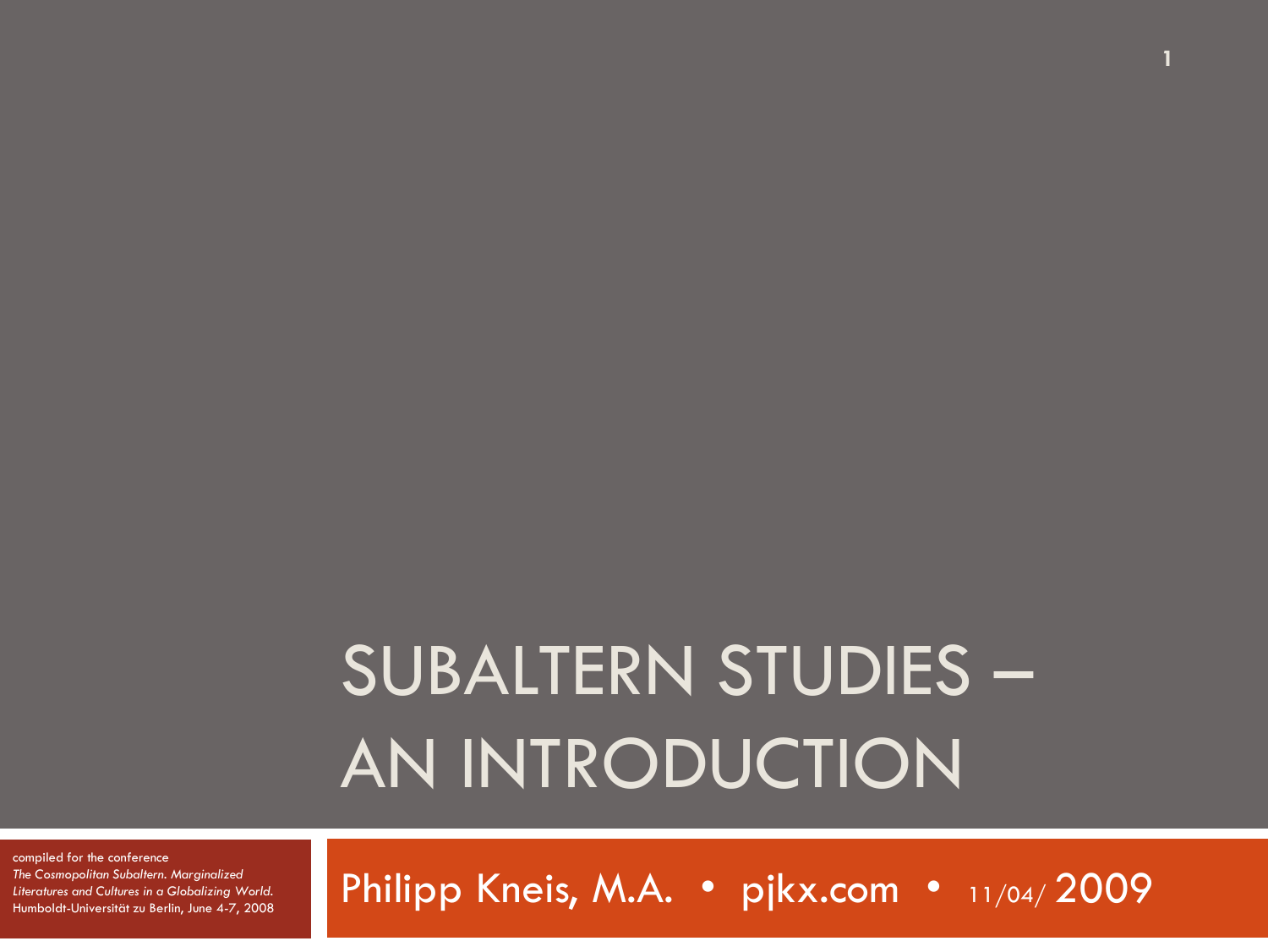# SUBALTERN STUDIES – AN INTRODUCTION

compiled for the conference

*The Cosmopolitan Subaltern. Marginalized Literatures and Cultures in a Globalizing World.*  Humboldt-Universität zu Berlin, June 4-7, 2008 Philipp Kneis, M.A. • pjkx.com • 11/04/2009

**1**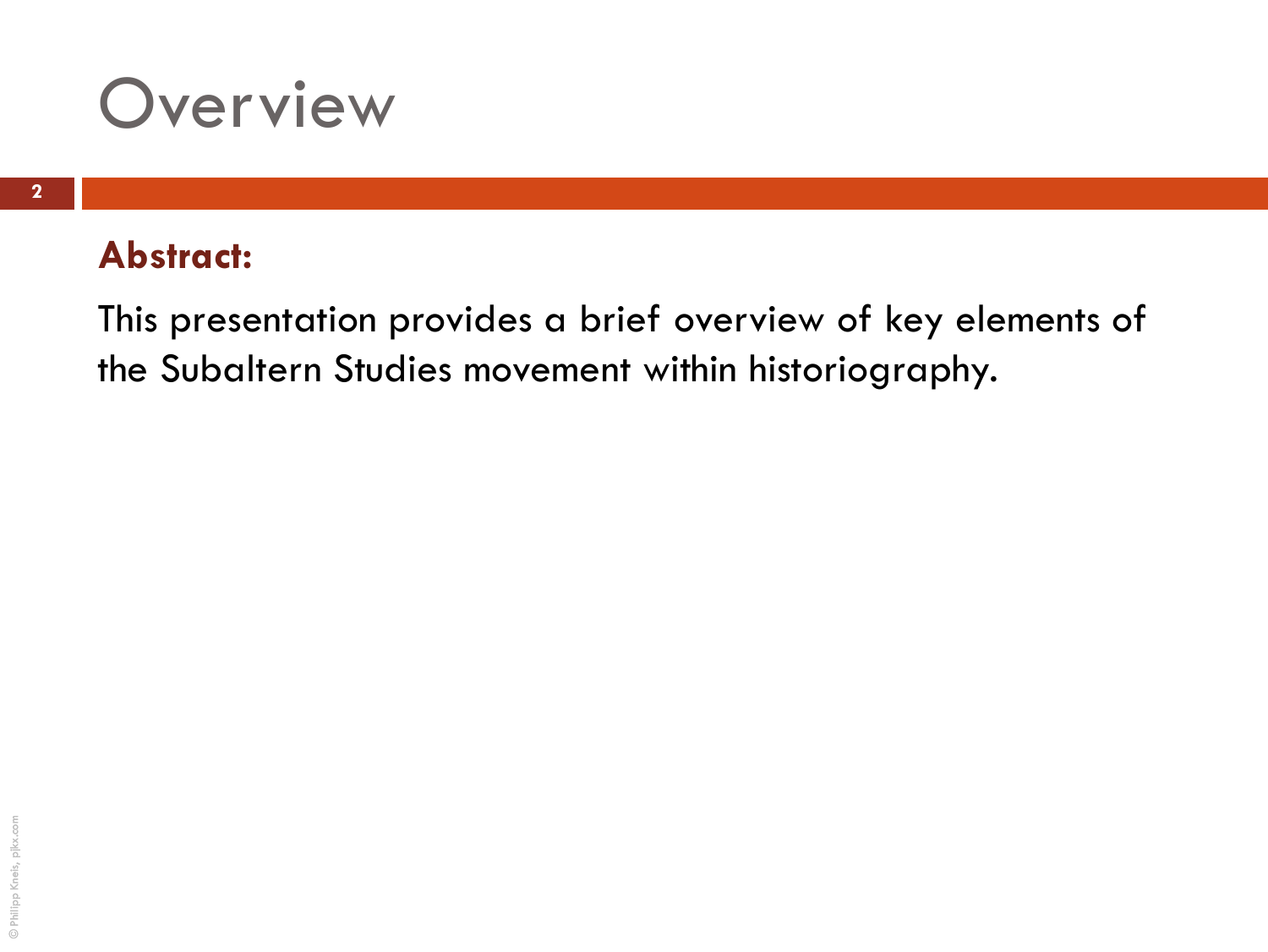

#### **Abstract:**

This presentation provides a brief overview of key elements of the Subaltern Studies movement within historiography.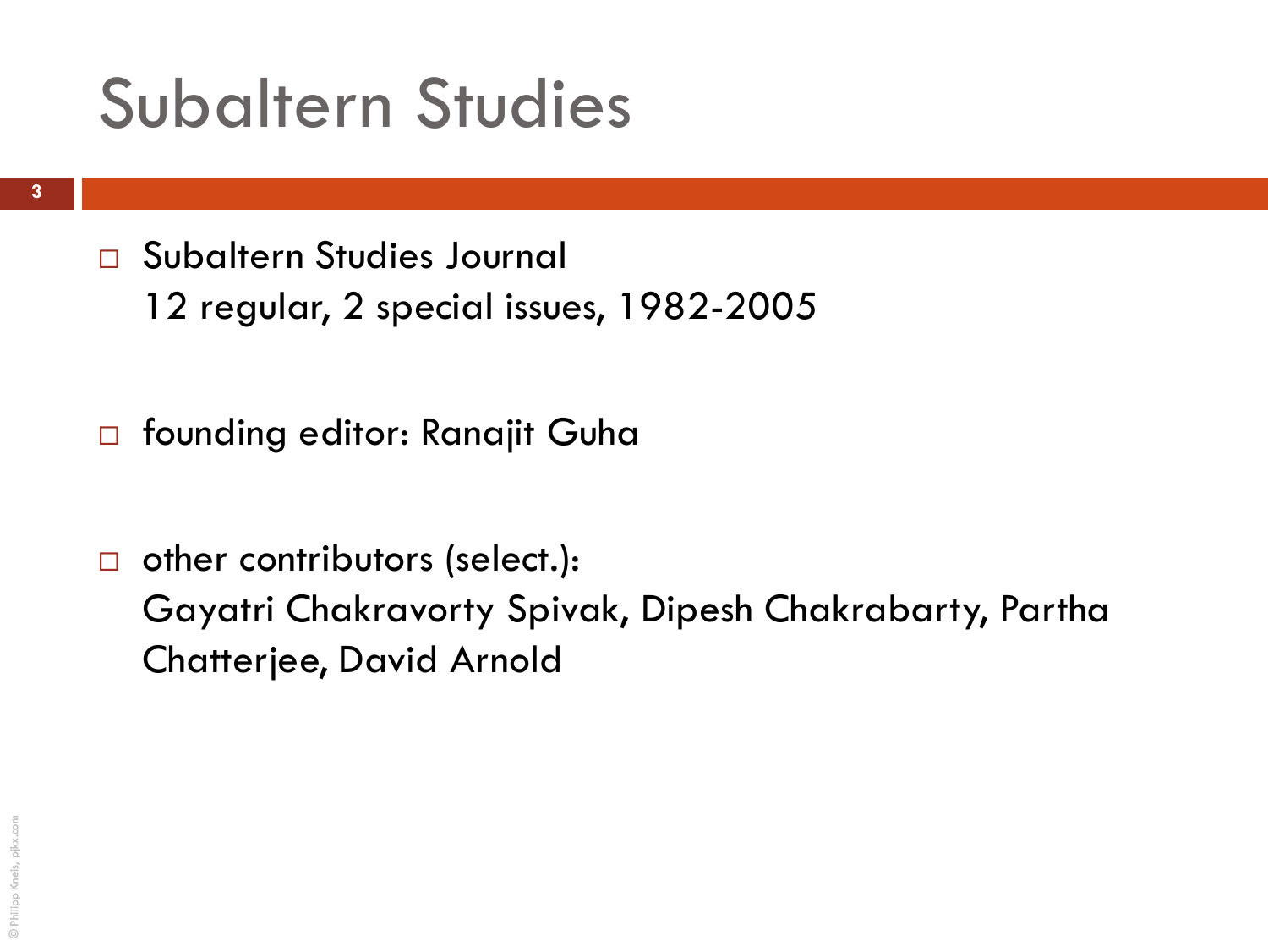### Subaltern Studies

- □ Subaltern Studies Journal 12 regular, 2 special issues, 1982-2005
- □ founding editor: Ranajit Guha
- $\Box$  other contributors (select.): Gayatri Chakravorty Spivak, Dipesh Chakrabarty, Partha Chatterjee, David Arnold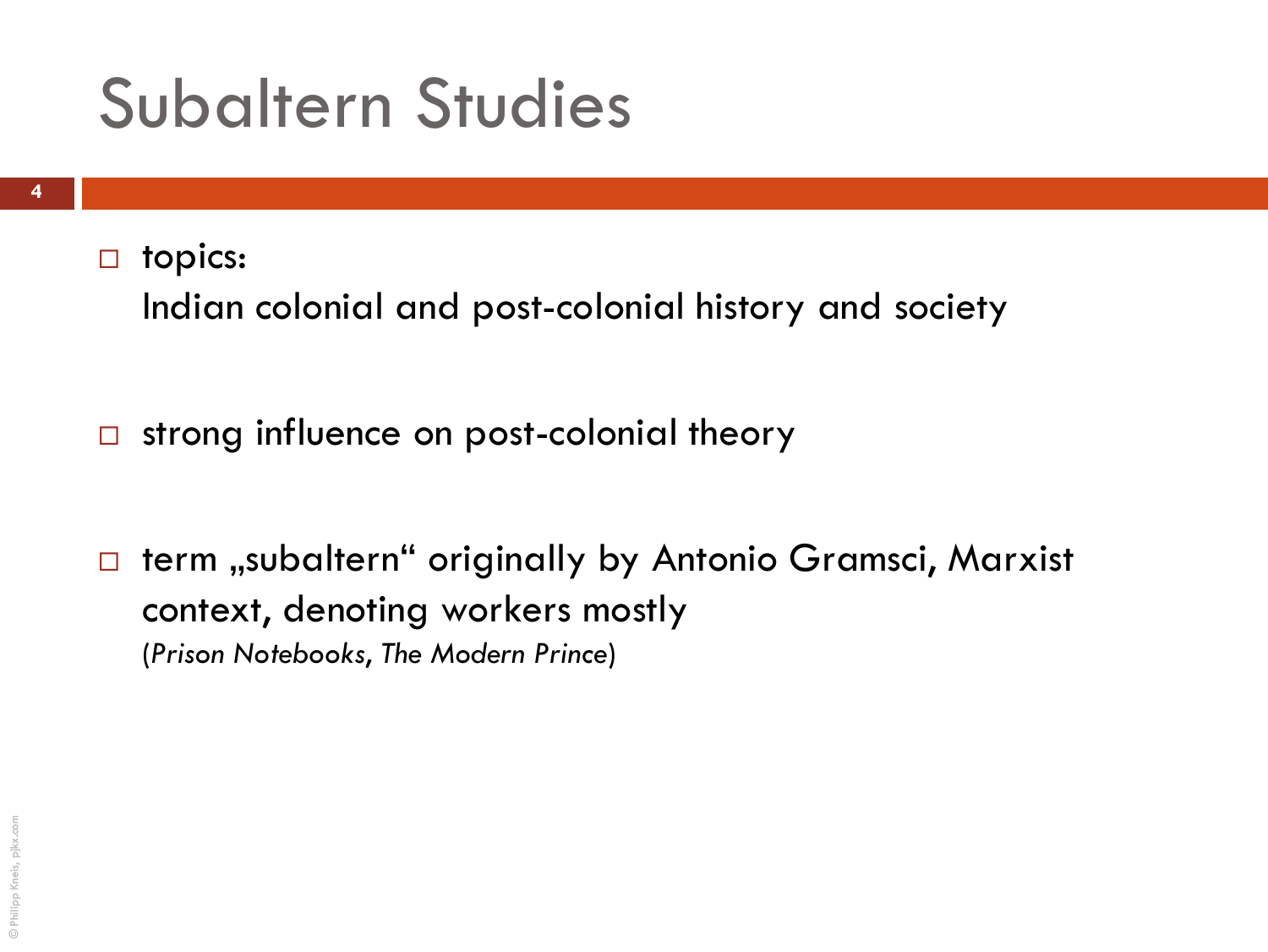### Subaltern Studies

topics:

Indian colonial and post-colonial history and society

- $\Box$  strong influence on post-colonial theory
- $\Box$  term "subaltern" originally by Antonio Gramsci, Marxist context, denoting workers mostly (*Prison Notebooks*, *The Modern Prince*)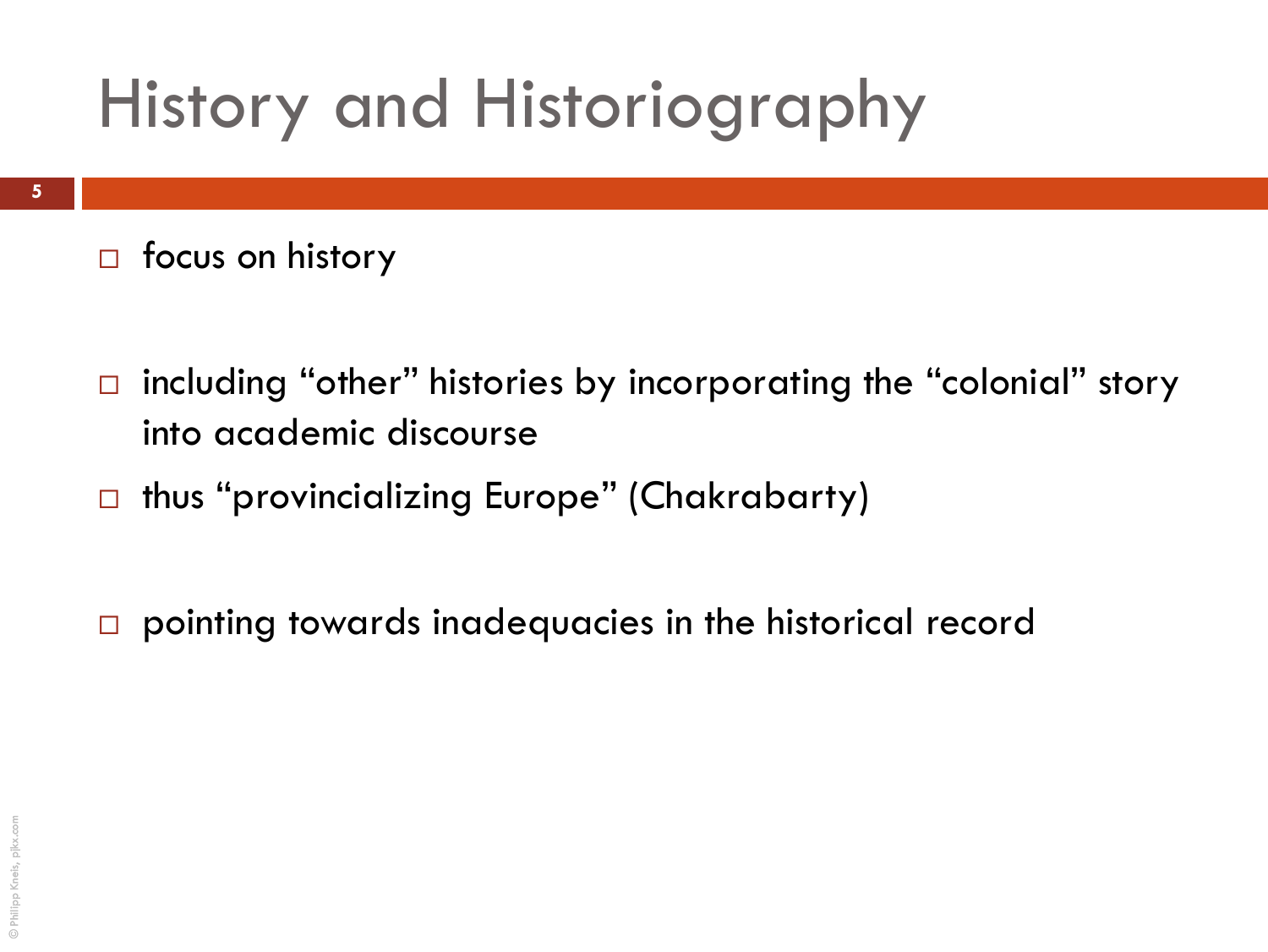$\Box$  focus on history

- $\Box$  including "other" histories by incorporating the "colonial" story into academic discourse
- □ thus "provincializing Europe" (Chakrabarty)
- □ pointing towards inadequacies in the historical record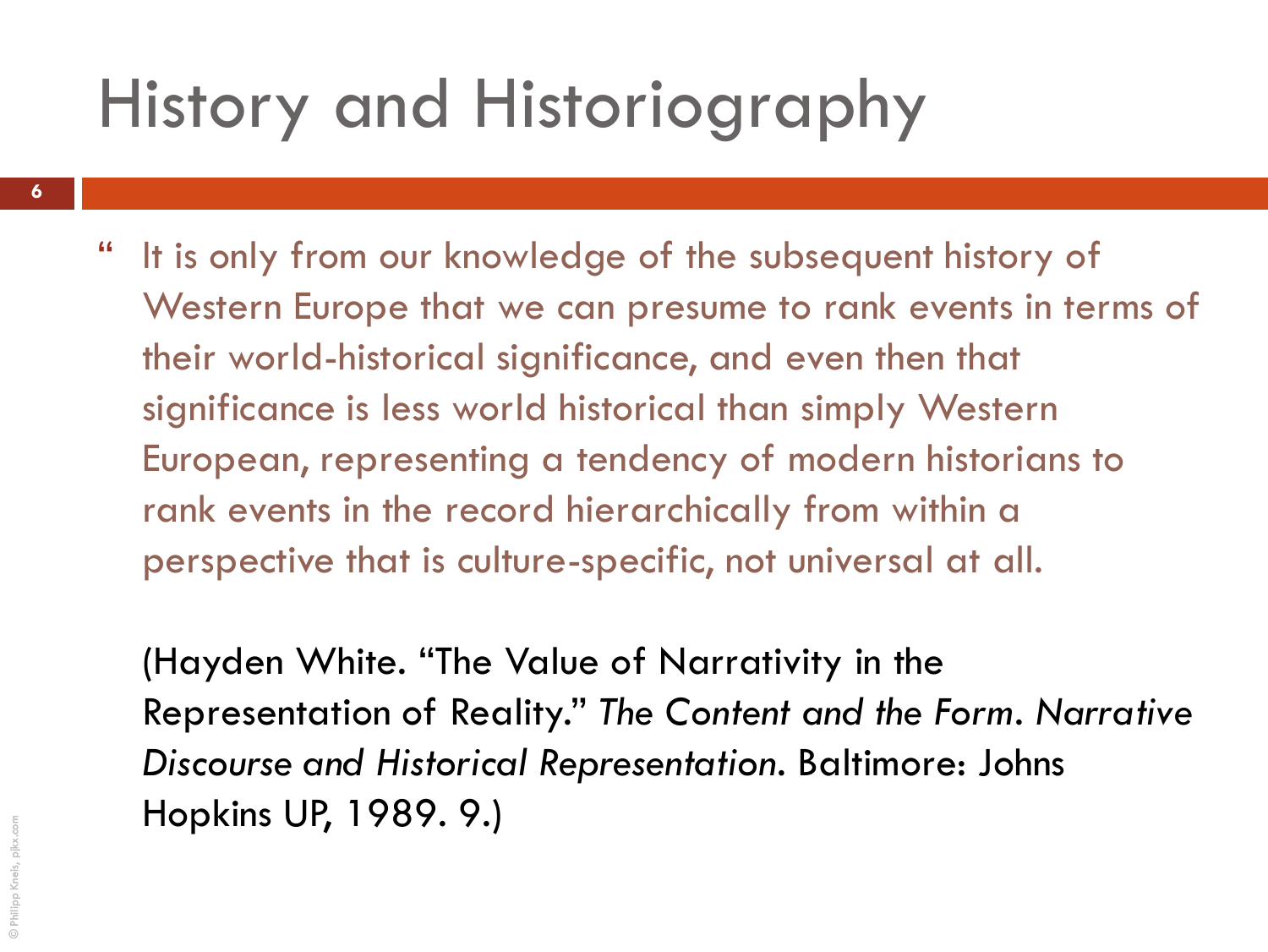- **6**
- " It is only from our knowledge of the subsequent history of Western Europe that we can presume to rank events in terms of their world-historical significance, and even then that significance is less world historical than simply Western European, representing a tendency of modern historians to rank events in the record hierarchically from within a perspective that is culture-specific, not universal at all.

(Hayden White. "The Value of Narrativity in the Representation of Reality." *The Content and the Form. Narrative Discourse and Historical Representation.* Baltimore: Johns Hopkins UP, 1989. 9.)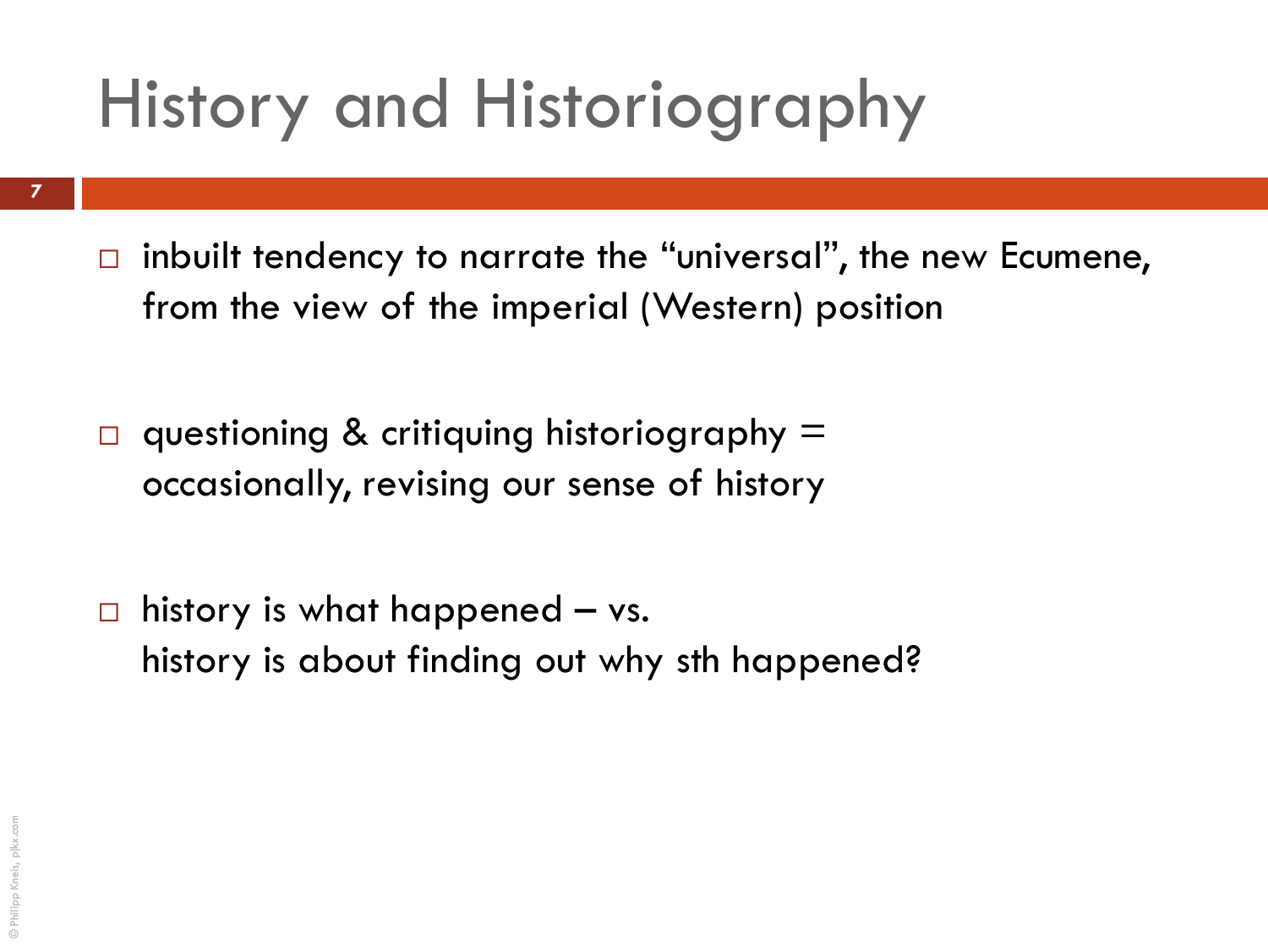- $\Box$  inbuilt tendency to narrate the "universal", the new Ecumene, from the view of the imperial (Western) position
- $\Box$  questioning & critiquing historiography  $\equiv$ occasionally, revising our sense of history
- $\Box$  history is what happened vs. history is about finding out why sth happened?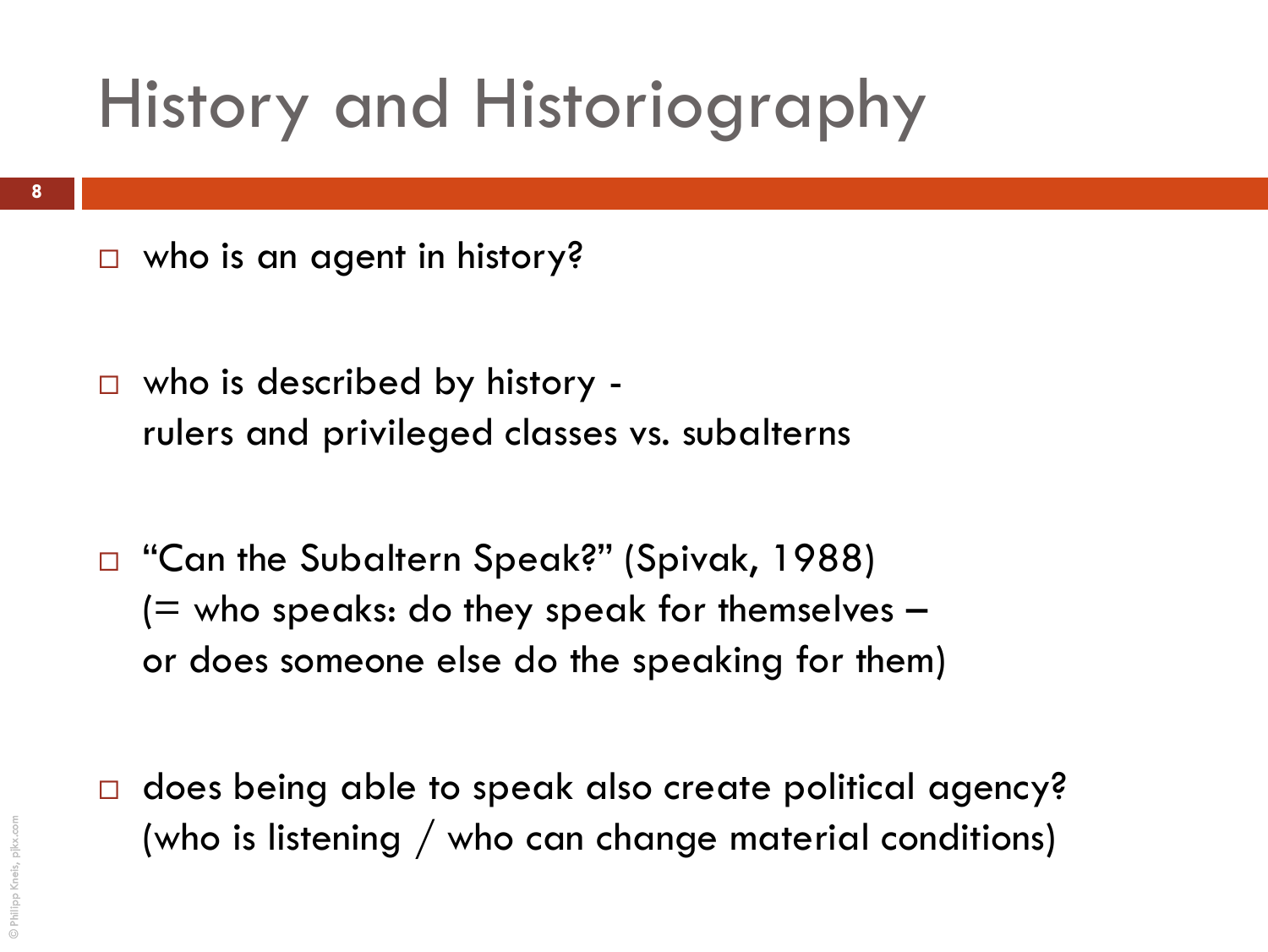- □ who is an agent in history?
- $\Box$  who is described by history rulers and privileged classes vs. subalterns
- □ "Can the Subaltern Speak?" (Spivak, 1988)  $($  = who speaks: do they speak for themselves  $$ or does someone else do the speaking for them)
- □ does being able to speak also create political agency? (who is listening / who can change material conditions)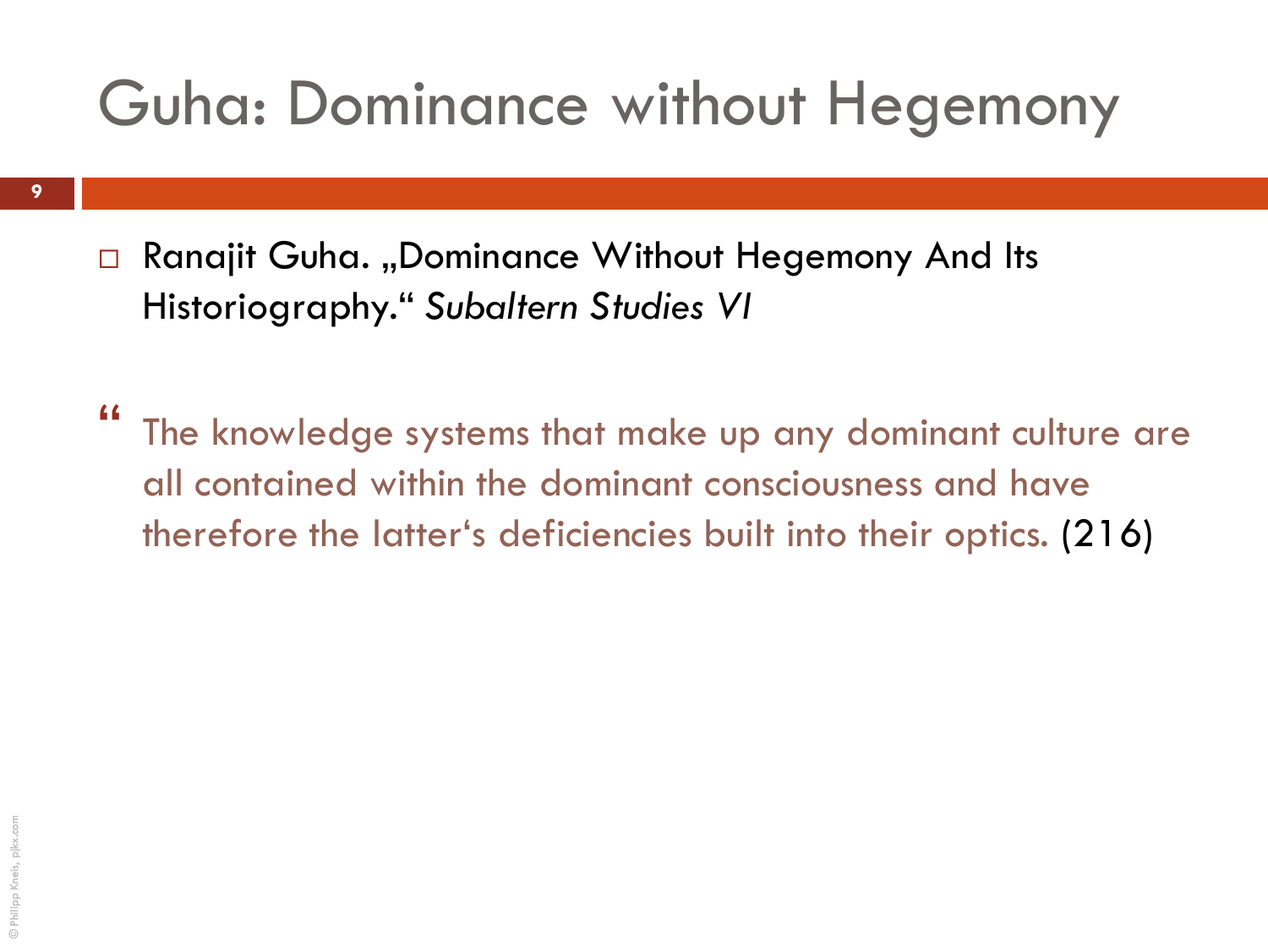- Ranajit Guha. "Dominance Without Hegemony And Its Historiography." *Subaltern Studies VI*
- The knowledge systems that make up any dominant culture are all contained within the dominant consciousness and have therefore the latter"s deficiencies built into their optics. (216)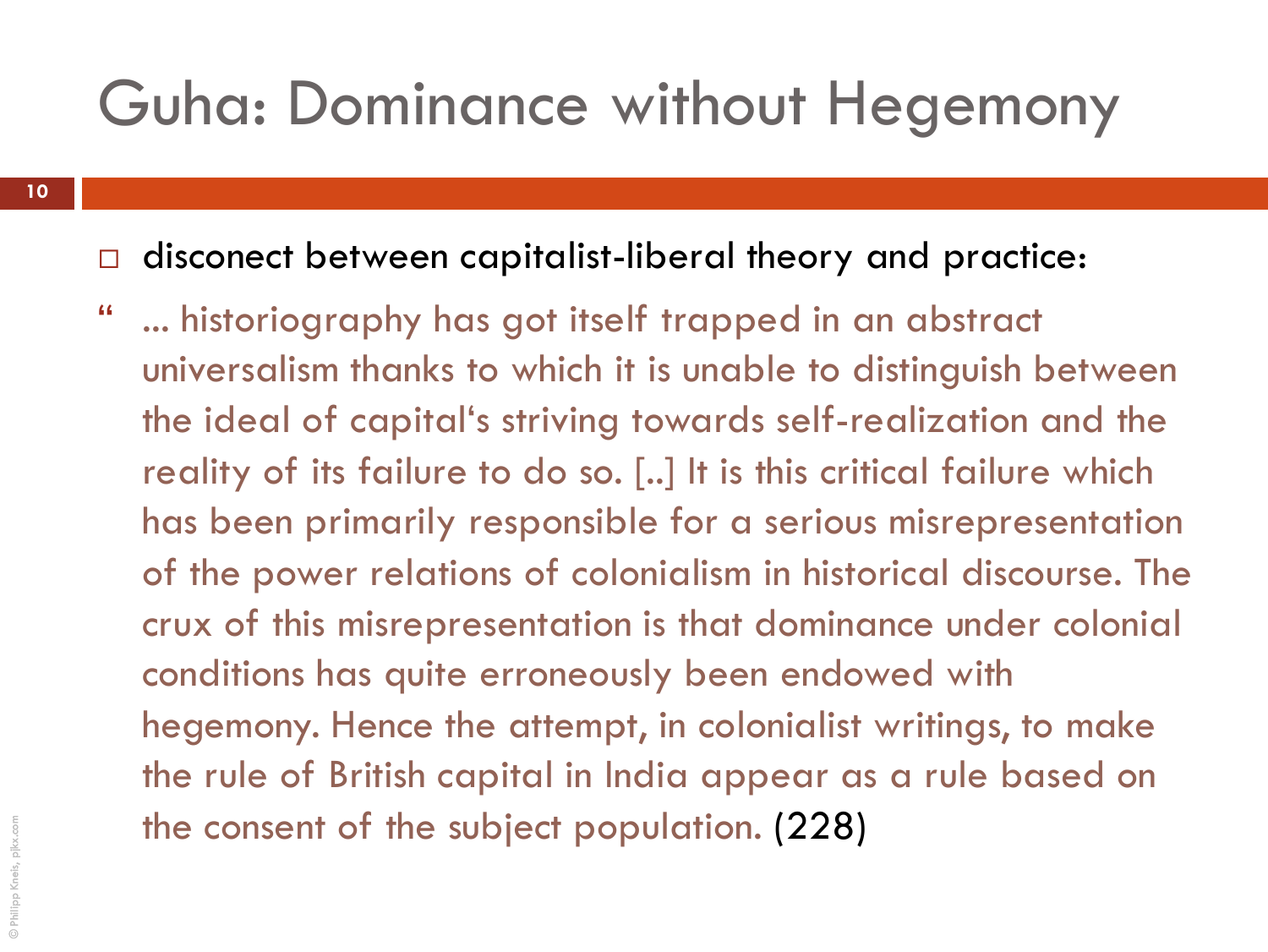**10**

- $\Box$  disconect between capitalist-liberal theory and practice:
- " ... historiography has got itself trapped in an abstract universalism thanks to which it is unable to distinguish between the ideal of capital"s striving towards self-realization and the reality of its failure to do so. [..] It is this critical failure which has been primarily responsible for a serious misrepresentation of the power relations of colonialism in historical discourse. The crux of this misrepresentation is that dominance under colonial conditions has quite erroneously been endowed with hegemony. Hence the attempt, in colonialist writings, to make the rule of British capital in India appear as a rule based on the consent of the subject population. (228)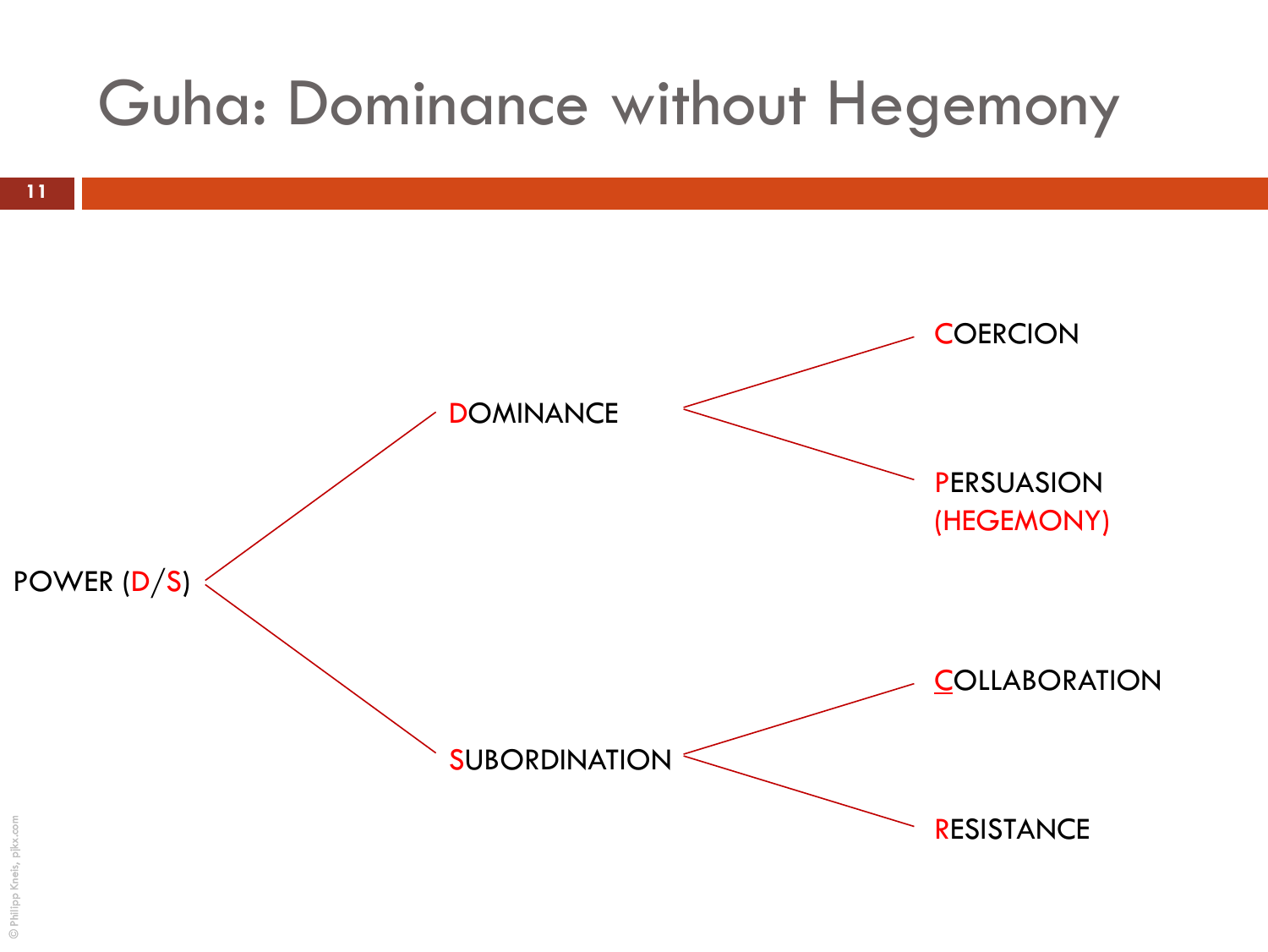

**11**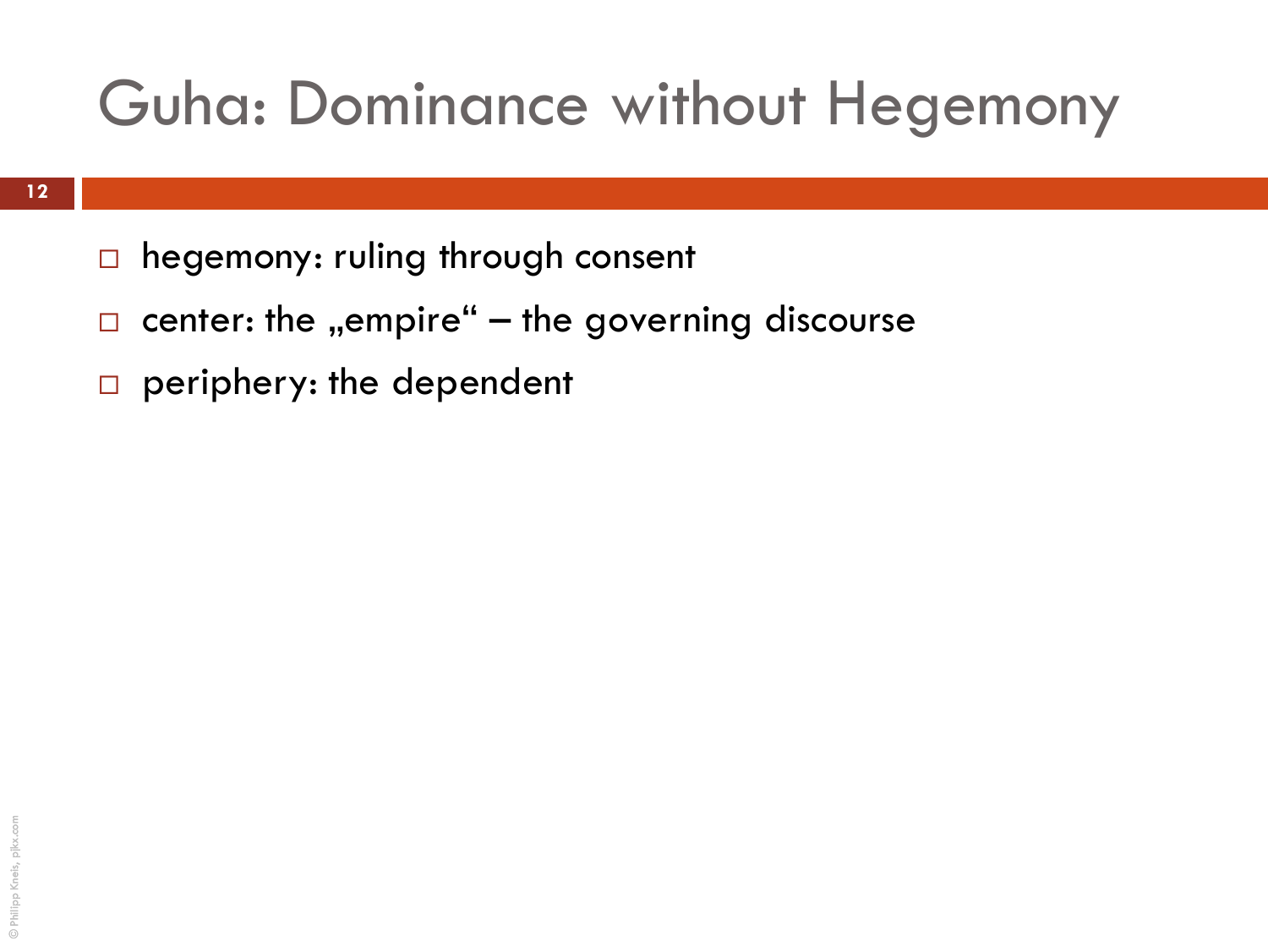- $\Box$  hegemony: ruling through consent
- $\Box$  center: the "empire" the governing discourse
- $\Box$  periphery: the dependent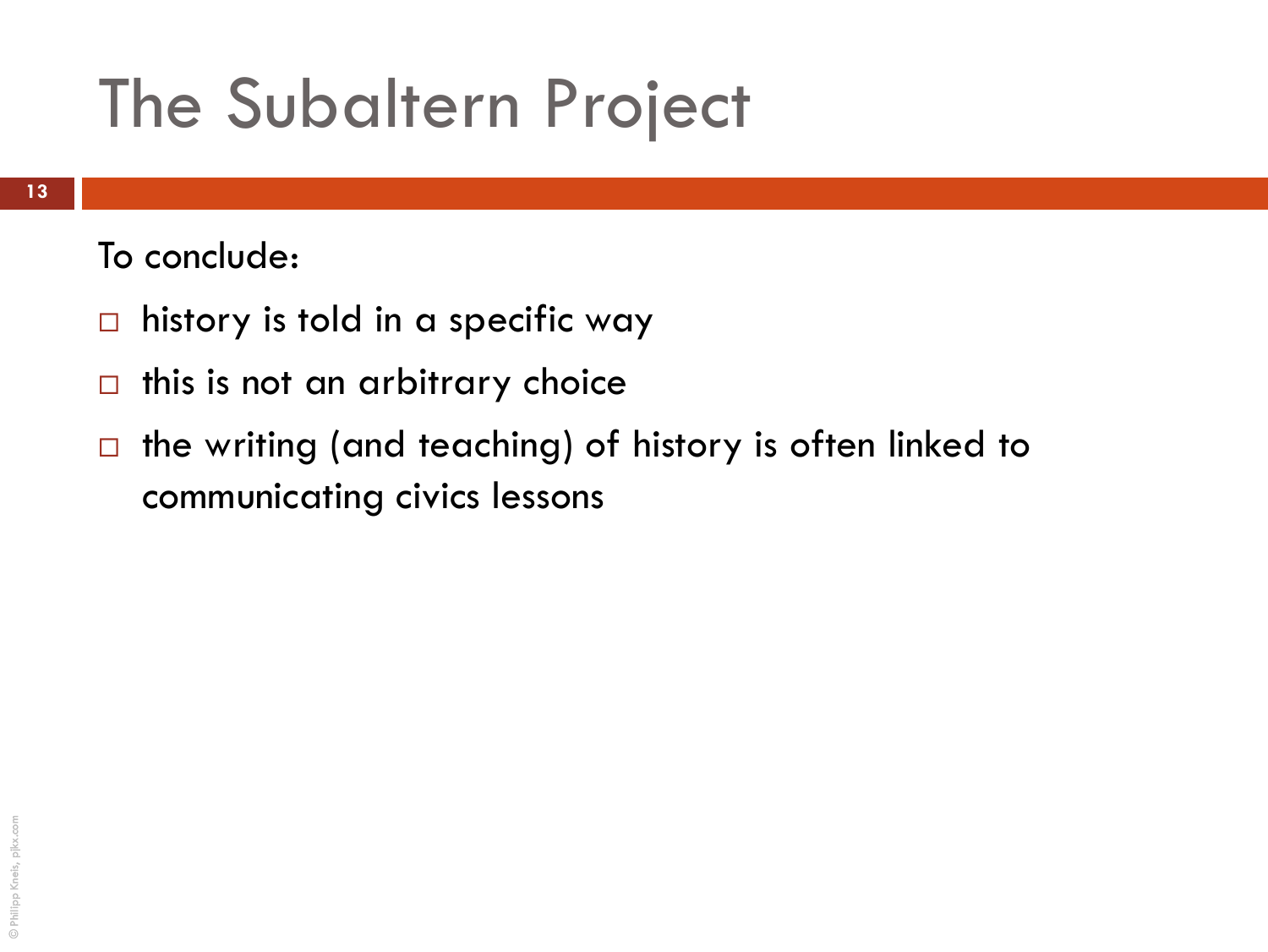## The Subaltern Project

To conclude:

- $\Box$  history is told in a specific way
- $\Box$  this is not an arbitrary choice
- $\Box$  the writing (and teaching) of history is often linked to communicating civics lessons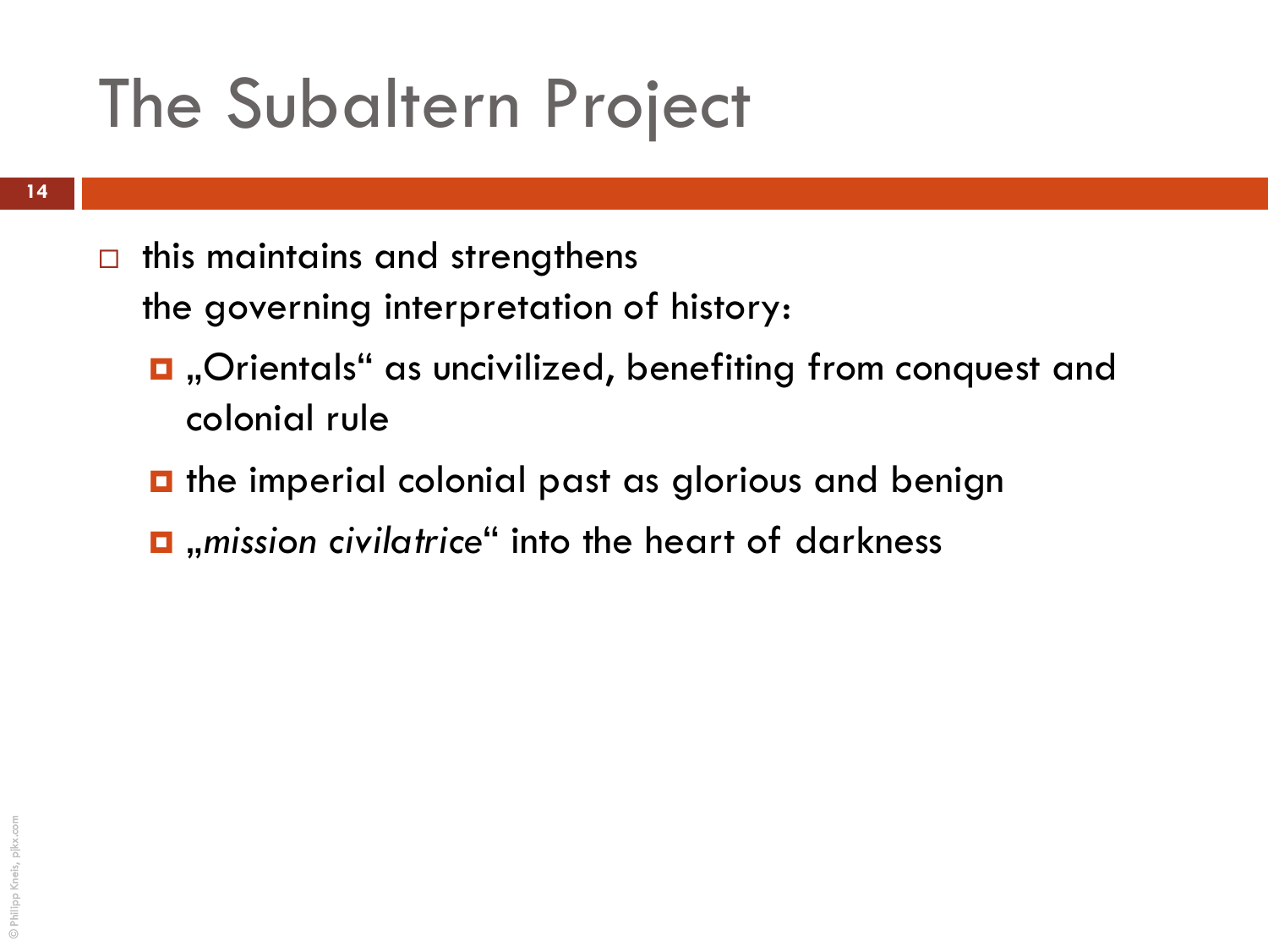## The Subaltern Project

 $\Box$  this maintains and strengthens

the governing interpretation of history:

- D, Orientals" as uncivilized, benefiting from conquest and colonial rule
- $\blacksquare$  the imperial colonial past as glorious and benign
- $\blacksquare$  , mission civilatrice " into the heart of darkness